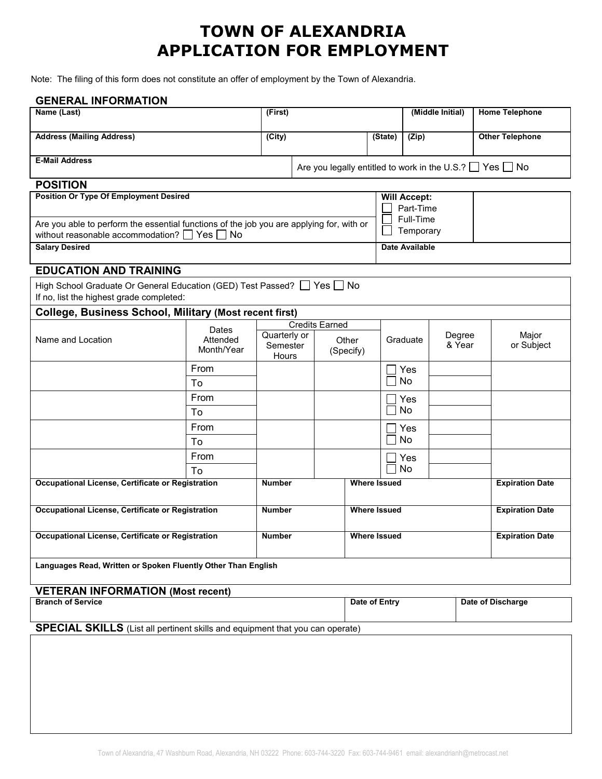## **TOWN OF ALEXANDRIA APPLICATION FOR EMPLOYMENT**

Note: The filing of this form does not constitute an offer of employment by the Town of Alexandria.

| <b>GENERAL INFORMATION</b>                                                               |                   |                       |                                                                    |                     |                     |                        |                        |                        |
|------------------------------------------------------------------------------------------|-------------------|-----------------------|--------------------------------------------------------------------|---------------------|---------------------|------------------------|------------------------|------------------------|
| Name (Last)                                                                              |                   | (First)               |                                                                    |                     | (Middle Initial)    |                        | <b>Home Telephone</b>  |                        |
|                                                                                          |                   |                       |                                                                    |                     |                     |                        |                        |                        |
| <b>Address (Mailing Address)</b>                                                         |                   | (City)                |                                                                    |                     | (State)             | (Zip)                  |                        | <b>Other Telephone</b> |
| <b>E-Mail Address</b>                                                                    |                   |                       |                                                                    |                     |                     |                        |                        |                        |
|                                                                                          |                   |                       | Are you legally entitled to work in the U.S.? $\Box$ Yes $\Box$ No |                     |                     |                        |                        |                        |
| <b>POSITION</b>                                                                          |                   |                       |                                                                    |                     |                     |                        |                        |                        |
| <b>Position Or Type Of Employment Desired</b>                                            |                   |                       |                                                                    |                     | <b>Will Accept:</b> |                        |                        |                        |
|                                                                                          |                   |                       |                                                                    |                     |                     | Part-Time              |                        |                        |
| Are you able to perform the essential functions of the job you are applying for, with or |                   |                       |                                                                    |                     |                     | Full-Time<br>Temporary |                        |                        |
| without reasonable accommodation? $\Box$ Yes $\Box$ No                                   |                   |                       |                                                                    |                     |                     |                        |                        |                        |
| <b>Salary Desired</b>                                                                    |                   |                       |                                                                    |                     |                     | <b>Date Available</b>  |                        |                        |
| <b>EDUCATION AND TRAINING</b>                                                            |                   |                       |                                                                    |                     |                     |                        |                        |                        |
| High School Graduate Or General Education (GED) Test Passed? Ves No                      |                   |                       |                                                                    |                     |                     |                        |                        |                        |
| If no, list the highest grade completed:                                                 |                   |                       |                                                                    |                     |                     |                        |                        |                        |
| <b>College, Business School, Military (Most recent first)</b>                            |                   |                       |                                                                    |                     |                     |                        |                        |                        |
|                                                                                          | Dates<br>Attended | <b>Credits Earned</b> |                                                                    |                     |                     |                        |                        |                        |
| Name and Location                                                                        |                   | Quarterly or<br>Other |                                                                    | Graduate            |                     | Degree                 | Major                  |                        |
|                                                                                          | Month/Year        | Semester<br>Hours     |                                                                    | (Specify)           |                     |                        | & Year                 | or Subject             |
|                                                                                          | From              |                       |                                                                    |                     |                     | Yes                    |                        |                        |
|                                                                                          | To                |                       |                                                                    |                     |                     | No                     |                        |                        |
|                                                                                          | From              |                       |                                                                    |                     |                     |                        |                        |                        |
|                                                                                          | To                |                       |                                                                    |                     |                     | Yes<br>No              |                        |                        |
|                                                                                          | From              |                       |                                                                    |                     |                     |                        |                        |                        |
|                                                                                          | To                |                       |                                                                    |                     |                     | Yes<br>No              |                        |                        |
|                                                                                          | From              |                       |                                                                    |                     |                     |                        |                        |                        |
|                                                                                          | Tο                |                       |                                                                    |                     |                     | Yes<br><b>No</b>       |                        |                        |
| Occupational License, Certificate or Registration                                        |                   | <b>Number</b>         |                                                                    |                     | <b>Where Issued</b> |                        |                        | <b>Expiration Date</b> |
|                                                                                          |                   |                       |                                                                    |                     |                     |                        |                        |                        |
| Occupational License, Certificate or Registration                                        |                   | <b>Number</b>         |                                                                    | <b>Where Issued</b> |                     |                        | <b>Expiration Date</b> |                        |
|                                                                                          |                   |                       |                                                                    |                     |                     |                        |                        |                        |
| Occupational License, Certificate or Registration                                        |                   | <b>Number</b>         |                                                                    | <b>Where Issued</b> |                     |                        | <b>Expiration Date</b> |                        |
|                                                                                          |                   |                       |                                                                    |                     |                     |                        |                        |                        |
| Languages Read, Written or Spoken Fluently Other Than English                            |                   |                       |                                                                    |                     |                     |                        |                        |                        |
|                                                                                          |                   |                       |                                                                    |                     |                     |                        |                        |                        |
| <b>VETERAN INFORMATION (Most recent)</b>                                                 |                   |                       |                                                                    |                     |                     |                        |                        |                        |
| <b>Branch of Service</b>                                                                 |                   |                       |                                                                    |                     | Date of Entry       |                        |                        | Date of Discharge      |
| $\sim$ $\sim$ $\sim$ $\sim$<br>$\mathbf{a}$                                              |                   |                       |                                                                    |                     |                     |                        |                        |                        |

**SPECIAL SKILLS** (List all pertinent skills and equipment that you can operate)